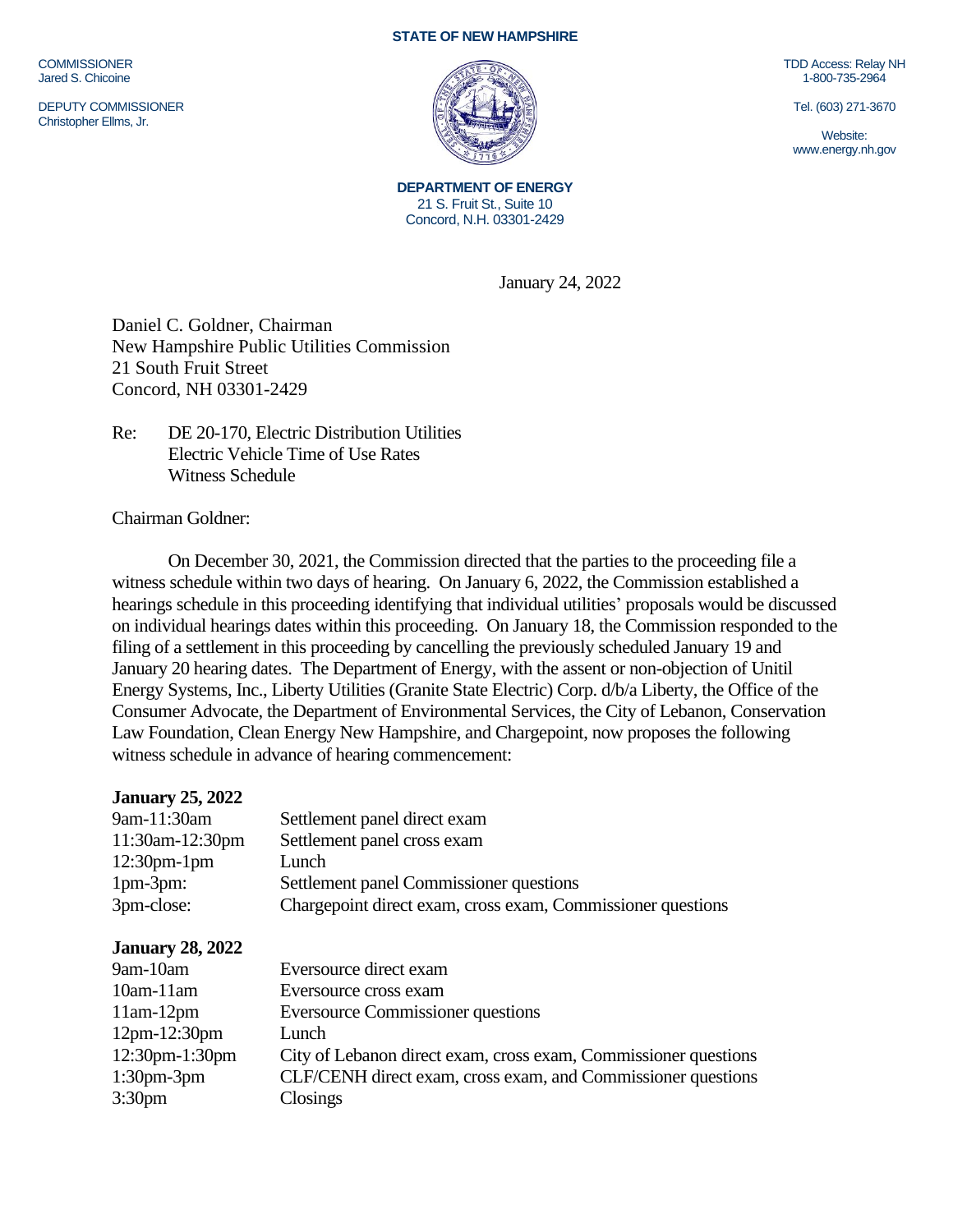**COMMISSIONER** Jared S. Chicoine

DEPUTY COMMISSIONER Christopher Ellms, Jr.

## **STATE OF NEW HAMPSHIRE**



**DEPARTMENT OF ENERGY** 21 S. Fruit St., Suite 10 Concord, N.H. 03301-2429

January 24, 2022

Daniel C. Goldner, Chairman New Hampshire Public Utilities Commission 21 South Fruit Street Concord, NH 03301-2429

Re: DE 20-170, Electric Distribution Utilities Electric Vehicle Time of Use Rates Witness Schedule

Chairman Goldner:

On December 30, 2021, the Commission directed that the parties to the proceeding file a witness schedule within two days of hearing. On January 6, 2022, the Commission established a hearings schedule in this proceeding identifying that individual utilities' proposals would be discussed on individual hearings dates within this proceeding. On January 18, the Commission responded to the filing of a settlement in this proceeding by cancelling the previously scheduled January 19 and January 20 hearing dates. The Department of Energy, with the assent or non-objection of Unitil Energy Systems, Inc., Liberty Utilities (Granite State Electric) Corp. d/b/a Liberty, the Office of the Consumer Advocate, the Department of Environmental Services, the City of Lebanon, Conservation Law Foundation, Clean Energy New Hampshire, and Chargepoint, now proposes the following witness schedule in advance of hearing commencement:

| Settlement panel direct exam                                    |
|-----------------------------------------------------------------|
| Settlement panel cross exam                                     |
| Lunch                                                           |
| Settlement panel Commissioner questions                         |
| Chargepoint direct exam, cross exam, Commissioner questions     |
|                                                                 |
| Eversource direct exam                                          |
| Eversource cross exam                                           |
| <b>Eversource Commissioner questions</b>                        |
| Lunch                                                           |
| City of Lebanon direct exam, cross exam, Commissioner questions |
| CLF/CENH direct exam, cross exam, and Commissioner questions    |
| Closings                                                        |
|                                                                 |

TDD Access: Relay NH 1-800-735-2964

Tel. (603) 271-3670

Website: www.energy.nh.gov